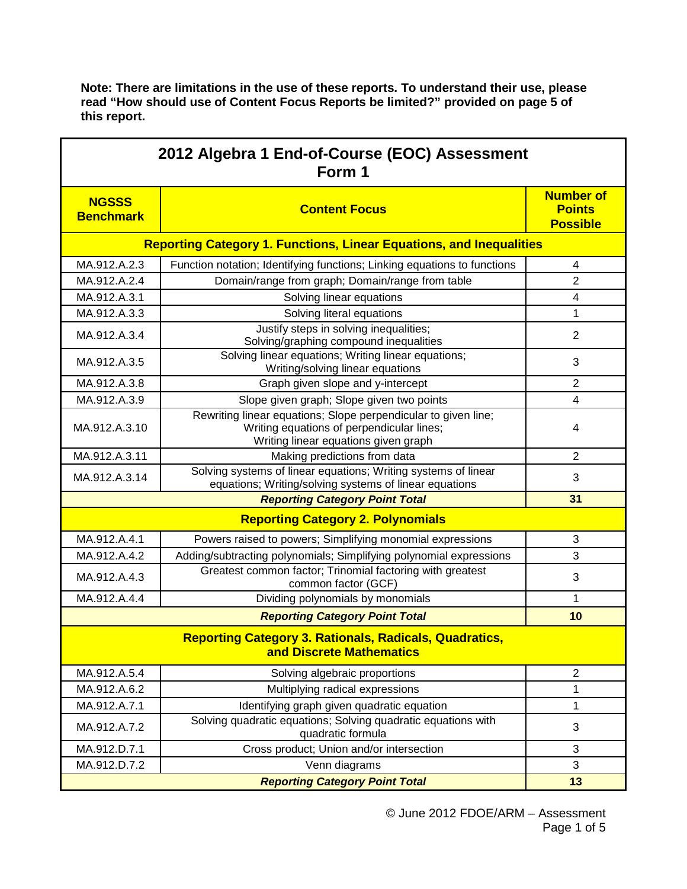| 2012 Algebra 1 End-of-Course (EOC) Assessment<br>Form 1                    |                                                                                                                                                     |                                                      |  |  |
|----------------------------------------------------------------------------|-----------------------------------------------------------------------------------------------------------------------------------------------------|------------------------------------------------------|--|--|
| <b>NGSSS</b><br><b>Benchmark</b>                                           | <b>Content Focus</b>                                                                                                                                | <b>Number of</b><br><b>Points</b><br><b>Possible</b> |  |  |
| <b>Reporting Category 1. Functions, Linear Equations, and Inequalities</b> |                                                                                                                                                     |                                                      |  |  |
| MA.912.A.2.3                                                               | Function notation; Identifying functions; Linking equations to functions                                                                            | 4                                                    |  |  |
| MA.912.A.2.4                                                               | Domain/range from graph; Domain/range from table                                                                                                    | $\overline{2}$                                       |  |  |
| MA.912.A.3.1                                                               | Solving linear equations                                                                                                                            | 4                                                    |  |  |
| MA.912.A.3.3                                                               | Solving literal equations                                                                                                                           | 1                                                    |  |  |
| MA.912.A.3.4                                                               | Justify steps in solving inequalities;<br>Solving/graphing compound inequalities                                                                    | $\overline{2}$                                       |  |  |
| MA.912.A.3.5                                                               | Solving linear equations; Writing linear equations;<br>Writing/solving linear equations                                                             | 3                                                    |  |  |
| MA.912.A.3.8                                                               | Graph given slope and y-intercept                                                                                                                   | $\mathbf{2}$                                         |  |  |
| MA.912.A.3.9                                                               | Slope given graph; Slope given two points                                                                                                           | $\overline{\mathbf{4}}$                              |  |  |
| MA.912.A.3.10                                                              | Rewriting linear equations; Slope perpendicular to given line;<br>Writing equations of perpendicular lines;<br>Writing linear equations given graph | 4                                                    |  |  |
| MA.912.A.3.11                                                              | Making predictions from data                                                                                                                        | 2                                                    |  |  |
| MA.912.A.3.14                                                              | Solving systems of linear equations; Writing systems of linear<br>equations; Writing/solving systems of linear equations                            | 3                                                    |  |  |
| <b>Reporting Category Point Total</b>                                      |                                                                                                                                                     | 31                                                   |  |  |
|                                                                            | <b>Reporting Category 2. Polynomials</b>                                                                                                            |                                                      |  |  |
| MA.912.A.4.1                                                               | Powers raised to powers; Simplifying monomial expressions                                                                                           | 3                                                    |  |  |
| MA.912.A.4.2                                                               | Adding/subtracting polynomials; Simplifying polynomial expressions                                                                                  | 3                                                    |  |  |
| MA.912.A.4.3                                                               | Greatest common factor; Trinomial factoring with greatest<br>common factor (GCF)                                                                    | 3                                                    |  |  |
| MA.912.A.4.4                                                               | Dividing polynomials by monomials                                                                                                                   | 1                                                    |  |  |
|                                                                            | <b>Reporting Category Point Total</b>                                                                                                               | 10                                                   |  |  |
|                                                                            | <b>Reporting Category 3. Rationals, Radicals, Quadratics,</b><br>and Discrete Mathematics                                                           |                                                      |  |  |
| MA.912.A.5.4                                                               | Solving algebraic proportions                                                                                                                       | $\overline{2}$                                       |  |  |
| MA.912.A.6.2                                                               | Multiplying radical expressions                                                                                                                     | 1                                                    |  |  |
| MA.912.A.7.1                                                               | Identifying graph given quadratic equation                                                                                                          | 1                                                    |  |  |
| MA.912.A.7.2                                                               | Solving quadratic equations; Solving quadratic equations with<br>quadratic formula                                                                  | 3                                                    |  |  |
| MA.912.D.7.1                                                               | Cross product; Union and/or intersection                                                                                                            | $\mathbf{3}$                                         |  |  |
| MA.912.D.7.2                                                               | Venn diagrams                                                                                                                                       | 3                                                    |  |  |
|                                                                            | <b>Reporting Category Point Total</b>                                                                                                               | 13                                                   |  |  |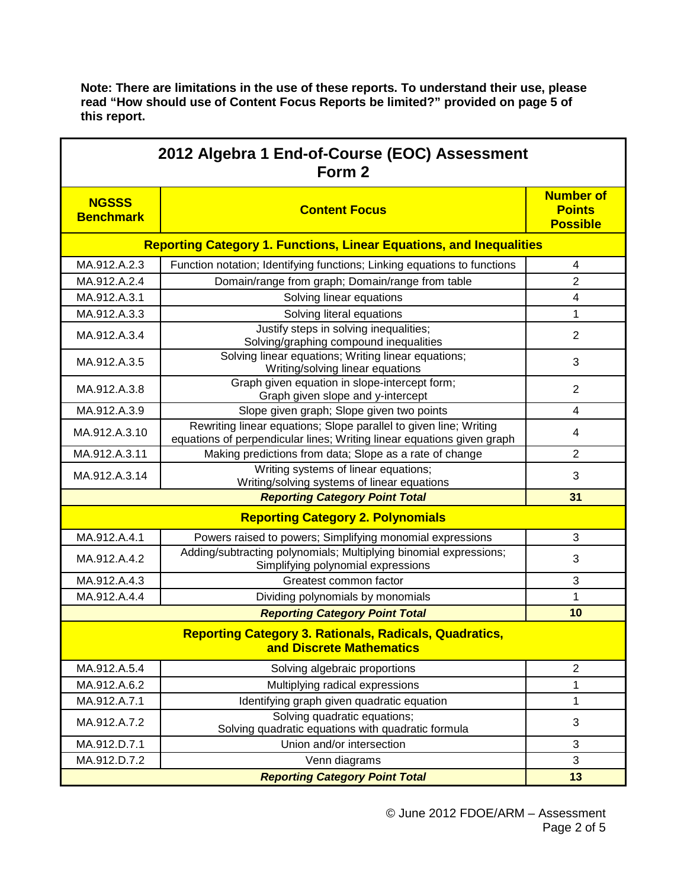| 2012 Algebra 1 End-of-Course (EOC) Assessment<br>Form 2                    |                                                                                                                                             |                                                      |  |  |
|----------------------------------------------------------------------------|---------------------------------------------------------------------------------------------------------------------------------------------|------------------------------------------------------|--|--|
| <b>NGSSS</b><br><b>Benchmark</b>                                           | <b>Content Focus</b>                                                                                                                        | <b>Number of</b><br><b>Points</b><br><b>Possible</b> |  |  |
| <b>Reporting Category 1. Functions, Linear Equations, and Inequalities</b> |                                                                                                                                             |                                                      |  |  |
| MA.912.A.2.3                                                               | Function notation; Identifying functions; Linking equations to functions                                                                    | 4                                                    |  |  |
| MA.912.A.2.4                                                               | Domain/range from graph; Domain/range from table                                                                                            | 2                                                    |  |  |
| MA.912.A.3.1                                                               | Solving linear equations                                                                                                                    | $\overline{\mathcal{A}}$                             |  |  |
| MA.912.A.3.3                                                               | Solving literal equations                                                                                                                   | 1                                                    |  |  |
| MA.912.A.3.4                                                               | Justify steps in solving inequalities;<br>Solving/graphing compound inequalities                                                            | $\overline{2}$                                       |  |  |
| MA.912.A.3.5                                                               | Solving linear equations; Writing linear equations;<br>Writing/solving linear equations                                                     | 3                                                    |  |  |
| MA.912.A.3.8                                                               | Graph given equation in slope-intercept form;<br>Graph given slope and y-intercept                                                          | $\overline{2}$                                       |  |  |
| MA.912.A.3.9                                                               | Slope given graph; Slope given two points                                                                                                   | $\overline{\mathbf{4}}$                              |  |  |
| MA.912.A.3.10                                                              | Rewriting linear equations; Slope parallel to given line; Writing<br>equations of perpendicular lines; Writing linear equations given graph | 4                                                    |  |  |
| MA.912.A.3.11                                                              | Making predictions from data; Slope as a rate of change                                                                                     | $\overline{2}$                                       |  |  |
| MA.912.A.3.14                                                              | Writing systems of linear equations;<br>Writing/solving systems of linear equations                                                         | 3                                                    |  |  |
|                                                                            | <b>Reporting Category Point Total</b>                                                                                                       | 31                                                   |  |  |
|                                                                            | <b>Reporting Category 2. Polynomials</b>                                                                                                    |                                                      |  |  |
| MA.912.A.4.1                                                               | Powers raised to powers; Simplifying monomial expressions                                                                                   | 3                                                    |  |  |
| MA.912.A.4.2                                                               | Adding/subtracting polynomials; Multiplying binomial expressions;<br>Simplifying polynomial expressions                                     | 3                                                    |  |  |
| MA.912.A.4.3                                                               | Greatest common factor                                                                                                                      | 3                                                    |  |  |
| MA.912.A.4.4                                                               | Dividing polynomials by monomials                                                                                                           | 1                                                    |  |  |
|                                                                            | <b>Reporting Category Point Total</b>                                                                                                       | 10                                                   |  |  |
|                                                                            | <b>Reporting Category 3. Rationals, Radicals, Quadratics,</b><br>and Discrete Mathematics                                                   |                                                      |  |  |
| MA.912.A.5.4                                                               | Solving algebraic proportions                                                                                                               | $\overline{2}$                                       |  |  |
| MA.912.A.6.2                                                               | Multiplying radical expressions                                                                                                             | 1                                                    |  |  |
| MA.912.A.7.1                                                               | Identifying graph given quadratic equation                                                                                                  | 1                                                    |  |  |
| MA.912.A.7.2                                                               | Solving quadratic equations;<br>Solving quadratic equations with quadratic formula                                                          | 3                                                    |  |  |
| MA.912.D.7.1                                                               | Union and/or intersection                                                                                                                   | $\mathbf{3}$                                         |  |  |
| MA.912.D.7.2                                                               | Venn diagrams                                                                                                                               | 3                                                    |  |  |
|                                                                            | <b>Reporting Category Point Total</b>                                                                                                       | 13                                                   |  |  |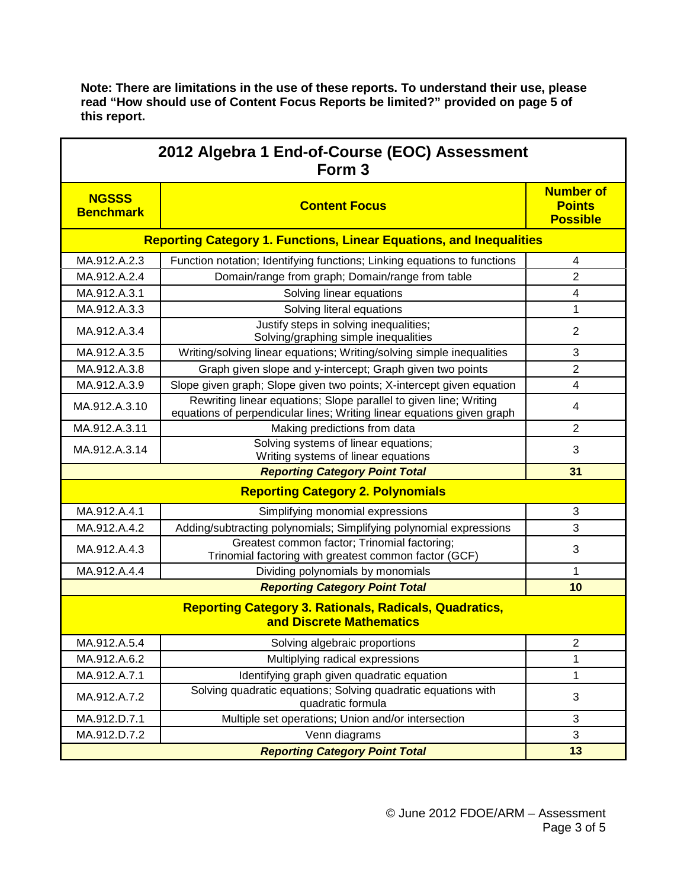| 2012 Algebra 1 End-of-Course (EOC) Assessment<br>Form <sub>3</sub>                        |                                                                                                                                             |                                                      |  |  |
|-------------------------------------------------------------------------------------------|---------------------------------------------------------------------------------------------------------------------------------------------|------------------------------------------------------|--|--|
| <b>NGSSS</b><br><b>Benchmark</b>                                                          | <b>Content Focus</b>                                                                                                                        | <b>Number of</b><br><b>Points</b><br><b>Possible</b> |  |  |
| <b>Reporting Category 1. Functions, Linear Equations, and Inequalities</b>                |                                                                                                                                             |                                                      |  |  |
| MA.912.A.2.3                                                                              | Function notation; Identifying functions; Linking equations to functions                                                                    | 4                                                    |  |  |
| MA.912.A.2.4                                                                              | Domain/range from graph; Domain/range from table                                                                                            | $\overline{2}$                                       |  |  |
| MA.912.A.3.1                                                                              | Solving linear equations                                                                                                                    | 4                                                    |  |  |
| MA.912.A.3.3                                                                              | Solving literal equations                                                                                                                   | 1                                                    |  |  |
| MA.912.A.3.4                                                                              | Justify steps in solving inequalities;<br>Solving/graphing simple inequalities                                                              | $\overline{2}$                                       |  |  |
| MA.912.A.3.5                                                                              | Writing/solving linear equations; Writing/solving simple inequalities                                                                       | 3                                                    |  |  |
| MA.912.A.3.8                                                                              | Graph given slope and y-intercept; Graph given two points                                                                                   | $\overline{2}$                                       |  |  |
| MA.912.A.3.9                                                                              | Slope given graph; Slope given two points; X-intercept given equation                                                                       | 4                                                    |  |  |
| MA.912.A.3.10                                                                             | Rewriting linear equations; Slope parallel to given line; Writing<br>equations of perpendicular lines; Writing linear equations given graph | 4                                                    |  |  |
| MA.912.A.3.11                                                                             | Making predictions from data                                                                                                                | $\overline{2}$                                       |  |  |
| MA.912.A.3.14                                                                             | Solving systems of linear equations;<br>Writing systems of linear equations                                                                 | 3                                                    |  |  |
|                                                                                           | <b>Reporting Category Point Total</b>                                                                                                       | 31                                                   |  |  |
| <b>Reporting Category 2. Polynomials</b>                                                  |                                                                                                                                             |                                                      |  |  |
| MA.912.A.4.1                                                                              | Simplifying monomial expressions                                                                                                            | 3                                                    |  |  |
| MA.912.A.4.2                                                                              | Adding/subtracting polynomials; Simplifying polynomial expressions                                                                          | 3                                                    |  |  |
| MA.912.A.4.3                                                                              | Greatest common factor; Trinomial factoring;<br>Trinomial factoring with greatest common factor (GCF)                                       | 3                                                    |  |  |
| MA.912.A.4.4                                                                              | Dividing polynomials by monomials                                                                                                           | 1                                                    |  |  |
|                                                                                           | <b>Reporting Category Point Total</b>                                                                                                       | 10                                                   |  |  |
| <b>Reporting Category 3. Rationals, Radicals, Quadratics,</b><br>and Discrete Mathematics |                                                                                                                                             |                                                      |  |  |
| MA.912.A.5.4                                                                              | Solving algebraic proportions                                                                                                               | $\overline{2}$                                       |  |  |
| MA.912.A.6.2                                                                              | Multiplying radical expressions                                                                                                             | 1                                                    |  |  |
| MA.912.A.7.1                                                                              | Identifying graph given quadratic equation                                                                                                  | 1                                                    |  |  |
| MA.912.A.7.2                                                                              | Solving quadratic equations; Solving quadratic equations with<br>quadratic formula                                                          | 3                                                    |  |  |
| MA.912.D.7.1                                                                              | Multiple set operations; Union and/or intersection                                                                                          | 3                                                    |  |  |
| MA.912.D.7.2                                                                              | Venn diagrams                                                                                                                               | 3                                                    |  |  |
|                                                                                           | <b>Reporting Category Point Total</b>                                                                                                       | 13                                                   |  |  |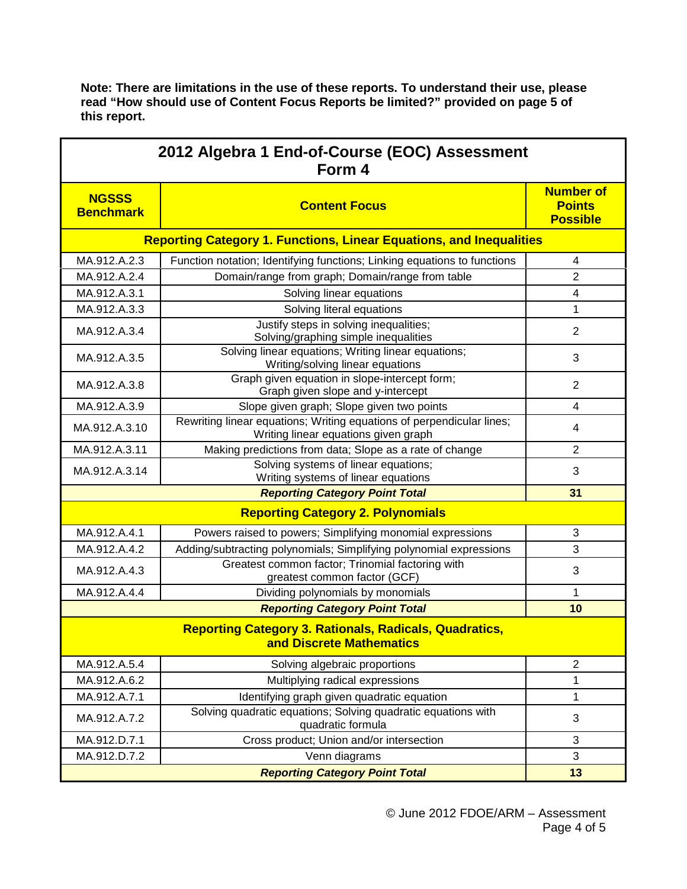| 2012 Algebra 1 End-of-Course (EOC) Assessment<br>Form 4                                          |                                                                                                               |                                                      |  |  |
|--------------------------------------------------------------------------------------------------|---------------------------------------------------------------------------------------------------------------|------------------------------------------------------|--|--|
| <b>NGSSS</b><br><b>Benchmark</b>                                                                 | <b>Content Focus</b>                                                                                          | <b>Number of</b><br><b>Points</b><br><b>Possible</b> |  |  |
| <b>Reporting Category 1. Functions, Linear Equations, and Inequalities</b>                       |                                                                                                               |                                                      |  |  |
| MA.912.A.2.3                                                                                     | Function notation; Identifying functions; Linking equations to functions                                      | $\overline{4}$                                       |  |  |
| MA.912.A.2.4                                                                                     | Domain/range from graph; Domain/range from table                                                              | $\overline{2}$                                       |  |  |
| MA.912.A.3.1                                                                                     | Solving linear equations                                                                                      | $\overline{\mathcal{A}}$                             |  |  |
| MA.912.A.3.3                                                                                     | Solving literal equations                                                                                     | 1                                                    |  |  |
| MA.912.A.3.4                                                                                     | Justify steps in solving inequalities;<br>Solving/graphing simple inequalities                                | $\overline{2}$                                       |  |  |
| MA.912.A.3.5                                                                                     | Solving linear equations; Writing linear equations;<br>Writing/solving linear equations                       | 3                                                    |  |  |
| MA.912.A.3.8                                                                                     | Graph given equation in slope-intercept form;<br>Graph given slope and y-intercept                            | 2                                                    |  |  |
| MA.912.A.3.9                                                                                     | Slope given graph; Slope given two points                                                                     | 4                                                    |  |  |
| MA.912.A.3.10                                                                                    | Rewriting linear equations; Writing equations of perpendicular lines;<br>Writing linear equations given graph | 4                                                    |  |  |
| MA.912.A.3.11                                                                                    | Making predictions from data; Slope as a rate of change                                                       | $\overline{2}$                                       |  |  |
| MA.912.A.3.14                                                                                    | Solving systems of linear equations;<br>Writing systems of linear equations                                   | 3                                                    |  |  |
|                                                                                                  | 31                                                                                                            |                                                      |  |  |
| <b>Reporting Category 2. Polynomials</b>                                                         |                                                                                                               |                                                      |  |  |
| MA.912.A.4.1                                                                                     | Powers raised to powers; Simplifying monomial expressions                                                     | 3                                                    |  |  |
| MA.912.A.4.2                                                                                     | Adding/subtracting polynomials; Simplifying polynomial expressions                                            | 3                                                    |  |  |
| MA.912.A.4.3                                                                                     | Greatest common factor; Trinomial factoring with<br>greatest common factor (GCF)                              | 3                                                    |  |  |
| MA.912.A.4.4                                                                                     | Dividing polynomials by monomials                                                                             | 1                                                    |  |  |
|                                                                                                  | <b>Reporting Category Point Total</b>                                                                         | 10                                                   |  |  |
| <b>Reporting Category 3. Rationals, Radicals, Quadratics,</b><br><b>and Discrete Mathematics</b> |                                                                                                               |                                                      |  |  |
| MA.912.A.5.4                                                                                     | Solving algebraic proportions                                                                                 | $\overline{2}$                                       |  |  |
| MA.912.A.6.2                                                                                     | Multiplying radical expressions                                                                               | 1                                                    |  |  |
| MA.912.A.7.1                                                                                     | Identifying graph given quadratic equation                                                                    | 1                                                    |  |  |
| MA.912.A.7.2                                                                                     | Solving quadratic equations; Solving quadratic equations with<br>quadratic formula                            | $\sqrt{3}$                                           |  |  |
| MA.912.D.7.1                                                                                     | Cross product; Union and/or intersection                                                                      | $\sqrt{3}$                                           |  |  |
| MA.912.D.7.2                                                                                     | Venn diagrams                                                                                                 | 3                                                    |  |  |
|                                                                                                  | <b>Reporting Category Point Total</b>                                                                         | 13                                                   |  |  |